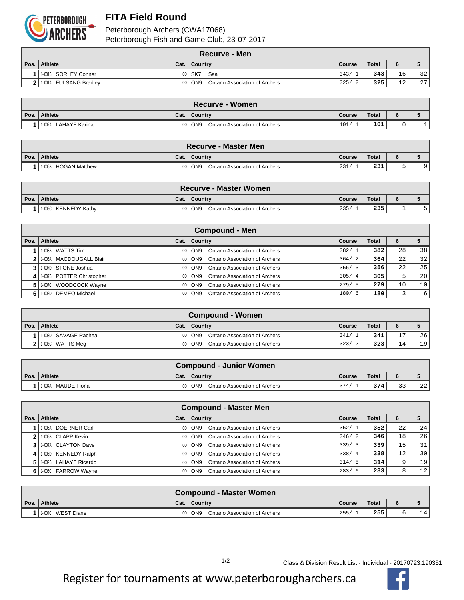

## **FITA Field Round**

Peterborough Archers (CWA17068) Peterborough Fish and Game Club, 23-07-2017

|      | <b>Recurve - Men</b>                 |      |                                                   |                    |              |                 |                 |  |  |  |  |
|------|--------------------------------------|------|---------------------------------------------------|--------------------|--------------|-----------------|-----------------|--|--|--|--|
| Pos. | <b>Athlete</b>                       | Cat. | Country                                           | Course             | <b>Total</b> | 6               |                 |  |  |  |  |
|      | 1.001B SORLEY Conner                 |      | 00 SK7<br>Saa                                     | 343/               | 343          | 16 <sup>1</sup> | 32              |  |  |  |  |
|      | <b>FULSANG Bradley</b><br>$211-001A$ |      | <b>Ontario Association of Archers</b><br>00   ON9 | 325/<br>$\sqrt{2}$ | 325          | 12              | 27 <sub>1</sub> |  |  |  |  |

| <b>Recurve - Women</b>  |                |                                       |                 |              |       |  |  |  |  |  |
|-------------------------|----------------|---------------------------------------|-----------------|--------------|-------|--|--|--|--|--|
| Pos. Athlete            | Cat.           | ∣ Countrv                             | Course          | <b>Total</b> | <br>D |  |  |  |  |  |
| LAHAYE Karina<br>1-002A | 0 <sub>0</sub> | ON9<br>Ontario Association of Archers | 101<br><b>.</b> | 101          |       |  |  |  |  |  |

|      | <b>Recurve - Master Men</b>    |      |                                                          |        |              |  |  |  |  |  |  |
|------|--------------------------------|------|----------------------------------------------------------|--------|--------------|--|--|--|--|--|--|
| Pos. | <b>Athlete</b>                 | Cat. | Country                                                  | Course | <b>Total</b> |  |  |  |  |  |  |
|      | <b>HOGAN Matthew</b><br>1-006B |      | ON <sub>9</sub><br><b>Ontario Association of Archers</b> | 231,   | 231          |  |  |  |  |  |  |

| Recurve - Master Women  |      |                                                   |        |       |  |  |  |  |  |  |
|-------------------------|------|---------------------------------------------------|--------|-------|--|--|--|--|--|--|
| Pos. Athlete            | Cat. | <b>Country</b>                                    | Course | Total |  |  |  |  |  |  |
| KENNEDY Kathv<br>1-005C |      | ON <sub>9</sub><br>Ontario Association of Archers | 235/   | 235   |  |  |  |  |  |  |

|    | <b>Compound - Men</b>       |      |                                                 |        |              |                 |                 |  |  |  |  |
|----|-----------------------------|------|-------------------------------------------------|--------|--------------|-----------------|-----------------|--|--|--|--|
|    | Pos.   Athlete              | Cat. | Country                                         | Course | <b>Total</b> | 6               |                 |  |  |  |  |
|    | 1-003B WATTS Tim            |      | Ontario Association of Archers<br>00 ON9        | 382/1  | 382          | 28              | 38              |  |  |  |  |
|    | 1-005A MACDOUGALL Blair     |      | <b>Ontario Association of Archers</b><br>00 ON9 | 364/2  | 364          | 22 <sub>1</sub> | 32              |  |  |  |  |
|    | 3 1.007D STONE Joshua       |      | Ontario Association of Archers<br>00 ON9        | 356/3  | 356          | 22 <sub>1</sub> | 25              |  |  |  |  |
|    | 4 1.007B POTTER Christopher |      | Ontario Association of Archers<br>00   ON9      | 305/4  | 305          | 5               | 20              |  |  |  |  |
| 5. | 1-007C WOODCOCK Wayne       |      | Ontario Association of Archers<br>00 ON9        | 279/5  | 279          | 10              | 10 <sup>°</sup> |  |  |  |  |
|    | 1-002D DEMEO Michael        |      | Ontario Association of Archers<br>00   ON9      | 180/6  | 180          |                 | 6               |  |  |  |  |

|      | Compound - Women      |      |                                          |                        |              |                |                 |  |  |  |  |
|------|-----------------------|------|------------------------------------------|------------------------|--------------|----------------|-----------------|--|--|--|--|
| Pos. | <b>Athlete</b>        | Cat. | Country                                  | Course                 | <b>Total</b> | 6              |                 |  |  |  |  |
|      | 1-003D SAVAGE Racheal |      | Ontario Association of Archers<br>00 ON9 | 341/                   | 341          | $\overline{ }$ | 26              |  |  |  |  |
|      | 11-003C WATTS Meg     |      | 00 ON9<br>Ontario Association of Archers | 323/<br>$\overline{2}$ | 323          | 14             | 19 <sup>1</sup> |  |  |  |  |

|      |                       |      | <b>Compound - Junior Women</b>             |        |              |                |    |
|------|-----------------------|------|--------------------------------------------|--------|--------------|----------------|----|
| Pos. | Athlete               | Cat. | Country                                    | Course | <b>Total</b> |                |    |
|      | MAUDE Fiona<br>1-004A |      | 00   ON9<br>Ontario Association of Archers | 374/   | 374          | 22<br><u>.</u> | 22 |

| <b>Compound - Master Men</b> |      |                                                 |               |              |    |                 |  |  |  |  |  |
|------------------------------|------|-------------------------------------------------|---------------|--------------|----|-----------------|--|--|--|--|--|
| Pos. Athlete                 | Cat. | Country                                         | <b>Course</b> | <b>Total</b> | 6  |                 |  |  |  |  |  |
| DOERNER Carl<br>1-006A       |      | Ontario Association of Archers<br>00 ON9        | 352/1         | 352          | 22 | 24              |  |  |  |  |  |
| 11-005B CLAPP Kevin          |      | Ontario Association of Archers<br>00 ON9        | 346/2         | 346          | 18 | 26              |  |  |  |  |  |
| 3 1 1 007A CLAYTON Dave      |      | Ontario Association of Archers<br>00 ON9        | 339/3         | 339          | 15 | 31              |  |  |  |  |  |
| 4 1.005D KENNEDY Ralph       |      | Ontario Association of Archers<br>00 ON9        | 338/4         | 338          | 12 | 30 <sup>1</sup> |  |  |  |  |  |
| 5   1-002B LAHAYE Ricardo    |      | <b>Ontario Association of Archers</b><br>00 ON9 | 314/5         | 314          | 9  | 19              |  |  |  |  |  |
| 6 1.006C FARROW Wayne        |      | Ontario Association of Archers<br>$00  $ ON9    | 283/6         | 283          | 8  | 12              |  |  |  |  |  |

| <b>Compound - Master Women</b> |  |                                                     |        |       |  |     |  |  |  |
|--------------------------------|--|-----------------------------------------------------|--------|-------|--|-----|--|--|--|
| Pos. Athlete                   |  | Cat.   Country                                      | Course | Total |  |     |  |  |  |
| WEST Diane<br>1-004C           |  | Ontario Association of Archers<br>$\overline{)$ ON9 | 255/   | 255   |  | 4.1 |  |  |  |

Register for tournaments at www.peterborougharchers.ca